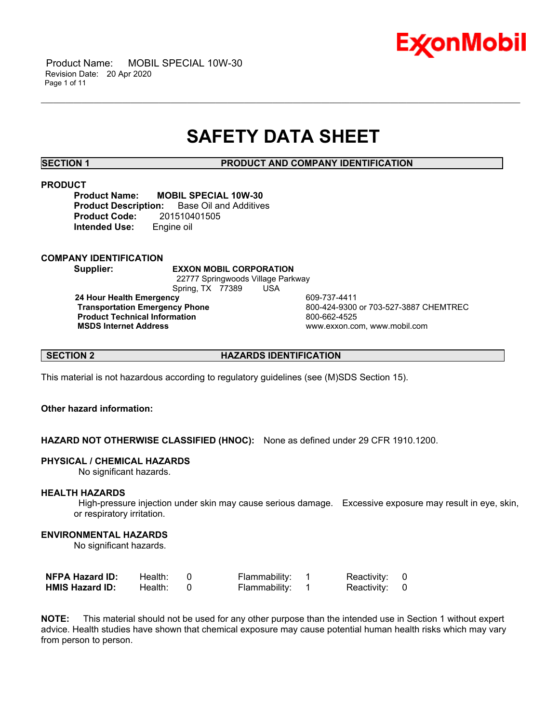

 Product Name: MOBIL SPECIAL 10W-30 Revision Date: 20 Apr 2020 Page 1 of 11

# **SAFETY DATA SHEET**

\_\_\_\_\_\_\_\_\_\_\_\_\_\_\_\_\_\_\_\_\_\_\_\_\_\_\_\_\_\_\_\_\_\_\_\_\_\_\_\_\_\_\_\_\_\_\_\_\_\_\_\_\_\_\_\_\_\_\_\_\_\_\_\_\_\_\_\_\_\_\_\_\_\_\_\_\_\_\_\_\_\_\_\_\_\_\_\_\_\_\_\_\_\_\_\_\_\_\_\_\_\_\_\_\_\_\_\_\_\_\_\_\_\_\_\_\_\_

**SECTION 1 PRODUCT AND COMPANY IDENTIFICATION**

### **PRODUCT**

**Product Name: MOBIL SPECIAL 10W-30 Product Description:** Base Oil and Additives **Product Code:** 201510401505 **Intended Use:** Engine oil

**COMPANY IDENTIFICATION**

**Supplier: EXXON MOBIL CORPORATION**

 22777 Springwoods Village Parkway Spring, TX 77389 USA

**24 Hour Health Emergency 609-737-4411<br>Transportation Emergency Phone 609-424-9300 Product Technical Information**<br> **MSDS Internet Address**<br>
MSDS Internet Address

 **Transportation Emergency Phone** 800-424-9300 or 703-527-3887 CHEMTREC  **MSDS Internet Address** www.exxon.com, www.mobil.com

**SECTION 2 HAZARDS IDENTIFICATION**

This material is not hazardous according to regulatory guidelines (see (M)SDS Section 15).

# **Other hazard information:**

**HAZARD NOT OTHERWISE CLASSIFIED (HNOC):** None as defined under 29 CFR 1910.1200.

# **PHYSICAL / CHEMICAL HAZARDS**

No significant hazards.

# **HEALTH HAZARDS**

 High-pressure injection under skin may cause serious damage. Excessive exposure may result in eye, skin, or respiratory irritation.

### **ENVIRONMENTAL HAZARDS**

No significant hazards.

| <b>NFPA Hazard ID:</b> | Health: | Flammability: | Reactivity: 0 |  |
|------------------------|---------|---------------|---------------|--|
| <b>HMIS Hazard ID:</b> | Health: | Flammability: | Reactivity: 0 |  |

**NOTE:** This material should not be used for any other purpose than the intended use in Section 1 without expert advice. Health studies have shown that chemical exposure may cause potential human health risks which may vary from person to person.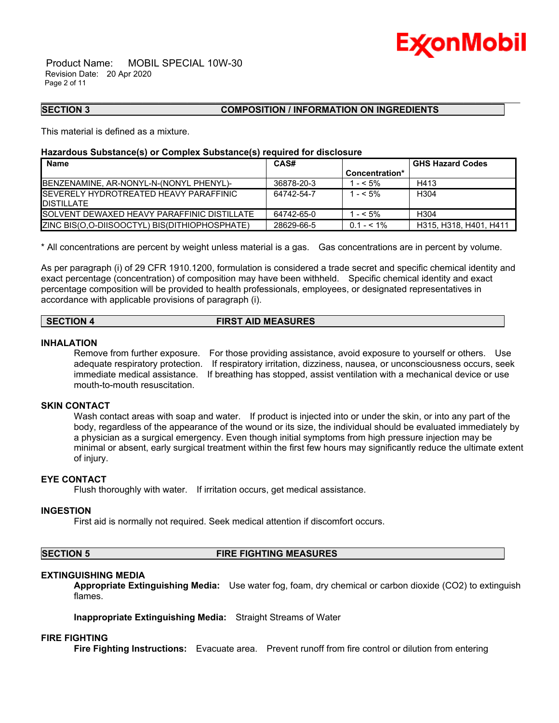

 Product Name: MOBIL SPECIAL 10W-30 Revision Date: 20 Apr 2020 Page 2 of 11

# **SECTION 3 COMPOSITION / INFORMATION ON INGREDIENTS**

This material is defined as a mixture.

# **Hazardous Substance(s) or Complex Substance(s) required for disclosure**

| <b>Name</b>                                                          | CAS#       |                | <b>GHS Hazard Codes</b> |
|----------------------------------------------------------------------|------------|----------------|-------------------------|
|                                                                      |            | Concentration* |                         |
| BENZENAMINE, AR-NONYL-N-(NONYL PHENYL)-                              | 36878-20-3 | 1 - < 5%       | H413                    |
| <b>ISEVERELY HYDROTREATED HEAVY PARAFFINIC</b><br><b>IDISTILLATE</b> | 64742-54-7 | $1 - 5\%$      | H <sub>304</sub>        |
| <b>ISOLVENT DEWAXED HEAVY PARAFFINIC DISTILLATE</b>                  | 64742-65-0 | 1 - < 5%       | H <sub>304</sub>        |
| <b>IZINC BIS(O.O-DIISOOCTYL) BIS(DITHIOPHOSPHATE)</b>                | 28629-66-5 | $0.1 - 5.1\%$  | H315, H318, H401, H411  |

\_\_\_\_\_\_\_\_\_\_\_\_\_\_\_\_\_\_\_\_\_\_\_\_\_\_\_\_\_\_\_\_\_\_\_\_\_\_\_\_\_\_\_\_\_\_\_\_\_\_\_\_\_\_\_\_\_\_\_\_\_\_\_\_\_\_\_\_\_\_\_\_\_\_\_\_\_\_\_\_\_\_\_\_\_\_\_\_\_\_\_\_\_\_\_\_\_\_\_\_\_\_\_\_\_\_\_\_\_\_\_\_\_\_\_\_\_\_

\* All concentrations are percent by weight unless material is a gas. Gas concentrations are in percent by volume.

As per paragraph (i) of 29 CFR 1910.1200, formulation is considered a trade secret and specific chemical identity and exact percentage (concentration) of composition may have been withheld. Specific chemical identity and exact percentage composition will be provided to health professionals, employees, or designated representatives in accordance with applicable provisions of paragraph (i).

# **SECTION 4 FIRST AID MEASURES**

### **INHALATION**

Remove from further exposure. For those providing assistance, avoid exposure to yourself or others. Use adequate respiratory protection. If respiratory irritation, dizziness, nausea, or unconsciousness occurs, seek immediate medical assistance. If breathing has stopped, assist ventilation with a mechanical device or use mouth-to-mouth resuscitation.

# **SKIN CONTACT**

Wash contact areas with soap and water. If product is injected into or under the skin, or into any part of the body, regardless of the appearance of the wound or its size, the individual should be evaluated immediately by a physician as a surgical emergency. Even though initial symptoms from high pressure injection may be minimal or absent, early surgical treatment within the first few hours may significantly reduce the ultimate extent of injury.

# **EYE CONTACT**

Flush thoroughly with water. If irritation occurs, get medical assistance.

#### **INGESTION**

First aid is normally not required. Seek medical attention if discomfort occurs.

#### **SECTION 5 FIRE FIGHTING MEASURES**

# **EXTINGUISHING MEDIA**

**Appropriate Extinguishing Media:** Use water fog, foam, dry chemical or carbon dioxide (CO2) to extinguish flames.

**Inappropriate Extinguishing Media:** Straight Streams of Water

# **FIRE FIGHTING**

**Fire Fighting Instructions:** Evacuate area. Prevent runoff from fire control or dilution from entering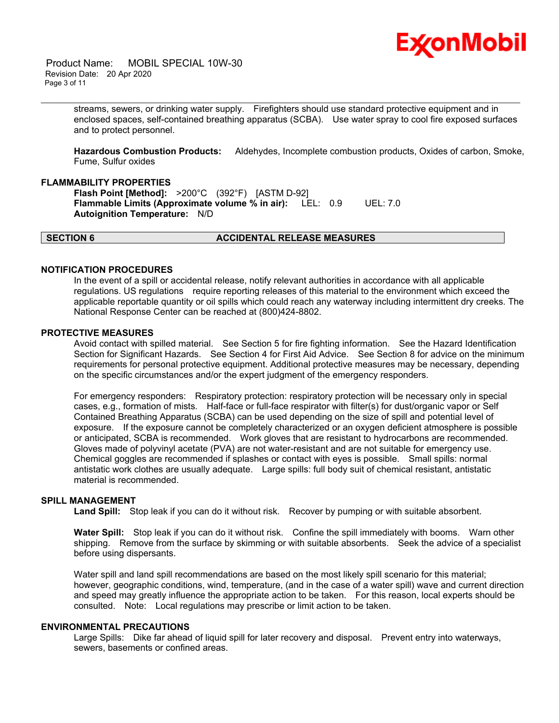

 Product Name: MOBIL SPECIAL 10W-30 Revision Date: 20 Apr 2020 Page 3 of 11

> streams, sewers, or drinking water supply. Firefighters should use standard protective equipment and in enclosed spaces, self-contained breathing apparatus (SCBA). Use water spray to cool fire exposed surfaces and to protect personnel.

\_\_\_\_\_\_\_\_\_\_\_\_\_\_\_\_\_\_\_\_\_\_\_\_\_\_\_\_\_\_\_\_\_\_\_\_\_\_\_\_\_\_\_\_\_\_\_\_\_\_\_\_\_\_\_\_\_\_\_\_\_\_\_\_\_\_\_\_\_\_\_\_\_\_\_\_\_\_\_\_\_\_\_\_\_\_\_\_\_\_\_\_\_\_\_\_\_\_\_\_\_\_\_\_\_\_\_\_\_\_\_\_\_\_\_\_\_\_

**Hazardous Combustion Products:** Aldehydes, Incomplete combustion products, Oxides of carbon, Smoke, Fume, Sulfur oxides

### **FLAMMABILITY PROPERTIES**

**Flash Point [Method]:** >200°C (392°F) [ASTM D-92] **Flammable Limits (Approximate volume % in air):** LEL: 0.9 UEL: 7.0 **Autoignition Temperature:** N/D

# **SECTION 6 ACCIDENTAL RELEASE MEASURES**

#### **NOTIFICATION PROCEDURES**

In the event of a spill or accidental release, notify relevant authorities in accordance with all applicable regulations. US regulations require reporting releases of this material to the environment which exceed the applicable reportable quantity or oil spills which could reach any waterway including intermittent dry creeks. The National Response Center can be reached at (800)424-8802.

### **PROTECTIVE MEASURES**

Avoid contact with spilled material. See Section 5 for fire fighting information. See the Hazard Identification Section for Significant Hazards. See Section 4 for First Aid Advice. See Section 8 for advice on the minimum requirements for personal protective equipment. Additional protective measures may be necessary, depending on the specific circumstances and/or the expert judgment of the emergency responders.

For emergency responders: Respiratory protection: respiratory protection will be necessary only in special cases, e.g., formation of mists. Half-face or full-face respirator with filter(s) for dust/organic vapor or Self Contained Breathing Apparatus (SCBA) can be used depending on the size of spill and potential level of exposure. If the exposure cannot be completely characterized or an oxygen deficient atmosphere is possible or anticipated, SCBA is recommended. Work gloves that are resistant to hydrocarbons are recommended. Gloves made of polyvinyl acetate (PVA) are not water-resistant and are not suitable for emergency use. Chemical goggles are recommended if splashes or contact with eyes is possible. Small spills: normal antistatic work clothes are usually adequate. Large spills: full body suit of chemical resistant, antistatic material is recommended.

#### **SPILL MANAGEMENT**

Land Spill: Stop leak if you can do it without risk. Recover by pumping or with suitable absorbent.

**Water Spill:** Stop leak if you can do it without risk. Confine the spill immediately with booms. Warn other shipping. Remove from the surface by skimming or with suitable absorbents. Seek the advice of a specialist before using dispersants.

Water spill and land spill recommendations are based on the most likely spill scenario for this material; however, geographic conditions, wind, temperature, (and in the case of a water spill) wave and current direction and speed may greatly influence the appropriate action to be taken. For this reason, local experts should be consulted. Note: Local regulations may prescribe or limit action to be taken.

#### **ENVIRONMENTAL PRECAUTIONS**

Large Spills: Dike far ahead of liquid spill for later recovery and disposal. Prevent entry into waterways, sewers, basements or confined areas.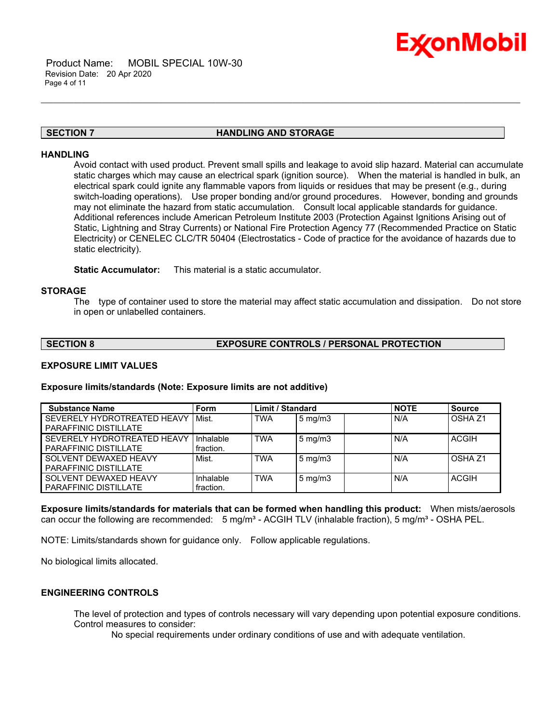

# **SECTION 7 HANDLING AND STORAGE**

\_\_\_\_\_\_\_\_\_\_\_\_\_\_\_\_\_\_\_\_\_\_\_\_\_\_\_\_\_\_\_\_\_\_\_\_\_\_\_\_\_\_\_\_\_\_\_\_\_\_\_\_\_\_\_\_\_\_\_\_\_\_\_\_\_\_\_\_\_\_\_\_\_\_\_\_\_\_\_\_\_\_\_\_\_\_\_\_\_\_\_\_\_\_\_\_\_\_\_\_\_\_\_\_\_\_\_\_\_\_\_\_\_\_\_\_\_\_

### **HANDLING**

Avoid contact with used product. Prevent small spills and leakage to avoid slip hazard. Material can accumulate static charges which may cause an electrical spark (ignition source). When the material is handled in bulk, an electrical spark could ignite any flammable vapors from liquids or residues that may be present (e.g., during switch-loading operations). Use proper bonding and/or ground procedures. However, bonding and grounds may not eliminate the hazard from static accumulation. Consult local applicable standards for guidance. Additional references include American Petroleum Institute 2003 (Protection Against Ignitions Arising out of Static, Lightning and Stray Currents) or National Fire Protection Agency 77 (Recommended Practice on Static Electricity) or CENELEC CLC/TR 50404 (Electrostatics - Code of practice for the avoidance of hazards due to static electricity).

**Static Accumulator:** This material is a static accumulator.

### **STORAGE**

The type of container used to store the material may affect static accumulation and dissipation. Do not store in open or unlabelled containers.

# **SECTION 8 EXPOSURE CONTROLS / PERSONAL PROTECTION**

# **EXPOSURE LIMIT VALUES**

#### **Exposure limits/standards (Note: Exposure limits are not additive)**

| <b>Substance Name</b>                                       | <b>Form</b>            | <b>Limit / Standard</b> |                  | <b>NOTE</b> | <b>Source</b> |
|-------------------------------------------------------------|------------------------|-------------------------|------------------|-------------|---------------|
| SEVERELY HYDROTREATED HEAVY<br>PARAFFINIC DISTILLATE        | Mist.                  | <b>TWA</b>              | $5 \text{ mg/m}$ | N/A         | OSHA 71       |
| SEVERELY HYDROTREATED HEAVY<br><b>PARAFFINIC DISTILLATE</b> | Inhalable<br>fraction. | <b>TWA</b>              | $5 \text{ mg/m}$ | N/A         | <b>ACGIH</b>  |
| SOLVENT DEWAXED HEAVY<br><b>PARAFFINIC DISTILLATE</b>       | Mist.                  | <b>TWA</b>              | $5 \text{ mg/m}$ | N/A         | OSHA 71       |
| SOLVENT DEWAXED HEAVY<br><b>PARAFFINIC DISTILLATE</b>       | Inhalable<br>fraction. | <b>TWA</b>              | $5 \text{ mg/m}$ | N/A         | <b>ACGIH</b>  |

**Exposure limits/standards for materials that can be formed when handling this product:** When mists/aerosols can occur the following are recommended:  $5 \text{ mg/m}^3$  - ACGIH TLV (inhalable fraction),  $5 \text{ mg/m}^3$  - OSHA PEL.

NOTE: Limits/standards shown for guidance only. Follow applicable regulations.

No biological limits allocated.

# **ENGINEERING CONTROLS**

The level of protection and types of controls necessary will vary depending upon potential exposure conditions. Control measures to consider:

No special requirements under ordinary conditions of use and with adequate ventilation.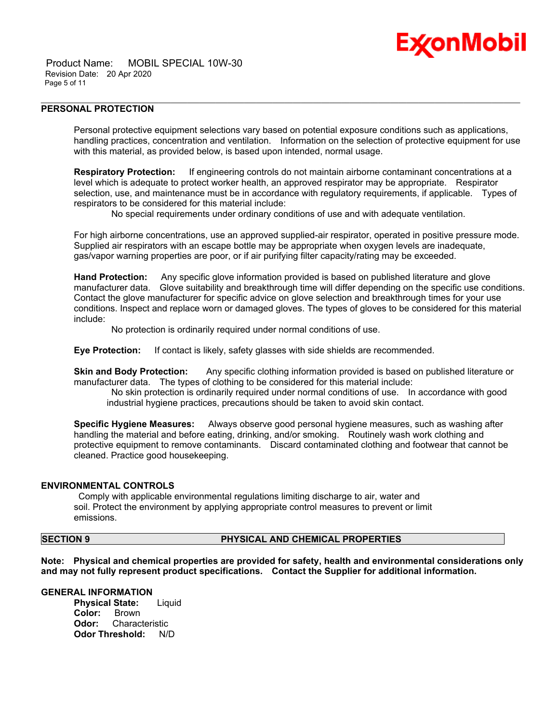

 Product Name: MOBIL SPECIAL 10W-30 Revision Date: 20 Apr 2020 Page 5 of 11

# **PERSONAL PROTECTION**

Personal protective equipment selections vary based on potential exposure conditions such as applications, handling practices, concentration and ventilation. Information on the selection of protective equipment for use with this material, as provided below, is based upon intended, normal usage.

\_\_\_\_\_\_\_\_\_\_\_\_\_\_\_\_\_\_\_\_\_\_\_\_\_\_\_\_\_\_\_\_\_\_\_\_\_\_\_\_\_\_\_\_\_\_\_\_\_\_\_\_\_\_\_\_\_\_\_\_\_\_\_\_\_\_\_\_\_\_\_\_\_\_\_\_\_\_\_\_\_\_\_\_\_\_\_\_\_\_\_\_\_\_\_\_\_\_\_\_\_\_\_\_\_\_\_\_\_\_\_\_\_\_\_\_\_\_

**Respiratory Protection:** If engineering controls do not maintain airborne contaminant concentrations at a level which is adequate to protect worker health, an approved respirator may be appropriate. Respirator selection, use, and maintenance must be in accordance with regulatory requirements, if applicable. Types of respirators to be considered for this material include:

No special requirements under ordinary conditions of use and with adequate ventilation.

For high airborne concentrations, use an approved supplied-air respirator, operated in positive pressure mode. Supplied air respirators with an escape bottle may be appropriate when oxygen levels are inadequate, gas/vapor warning properties are poor, or if air purifying filter capacity/rating may be exceeded.

**Hand Protection:** Any specific glove information provided is based on published literature and glove manufacturer data. Glove suitability and breakthrough time will differ depending on the specific use conditions. Contact the glove manufacturer for specific advice on glove selection and breakthrough times for your use conditions. Inspect and replace worn or damaged gloves. The types of gloves to be considered for this material include:

No protection is ordinarily required under normal conditions of use.

**Eye Protection:** If contact is likely, safety glasses with side shields are recommended.

**Skin and Body Protection:** Any specific clothing information provided is based on published literature or manufacturer data. The types of clothing to be considered for this material include:

 No skin protection is ordinarily required under normal conditions of use. In accordance with good industrial hygiene practices, precautions should be taken to avoid skin contact.

**Specific Hygiene Measures:** Always observe good personal hygiene measures, such as washing after handling the material and before eating, drinking, and/or smoking. Routinely wash work clothing and protective equipment to remove contaminants. Discard contaminated clothing and footwear that cannot be cleaned. Practice good housekeeping.

#### **ENVIRONMENTAL CONTROLS**

 Comply with applicable environmental regulations limiting discharge to air, water and soil. Protect the environment by applying appropriate control measures to prevent or limit emissions.

# **SECTION 9 PHYSICAL AND CHEMICAL PROPERTIES**

**Note: Physical and chemical properties are provided for safety, health and environmental considerations only and may not fully represent product specifications. Contact the Supplier for additional information.**

### **GENERAL INFORMATION**

**Physical State:** Liquid **Color:** Brown **Odor:** Characteristic **Odor Threshold:** N/D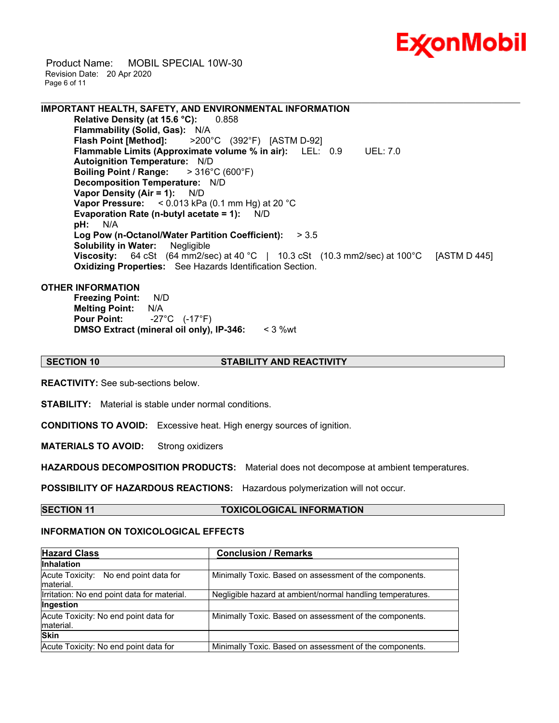

 Product Name: MOBIL SPECIAL 10W-30 Revision Date: 20 Apr 2020 Page 6 of 11

**IMPORTANT HEALTH, SAFETY, AND ENVIRONMENTAL INFORMATION Relative Density (at 15.6 °C):** 0.858 **Flammability (Solid, Gas): N/A**<br>**Flash Point [Method]:** >200 **Flash Point [Method]:** >200°C (392°F) [ASTM D-92] **Flammable Limits (Approximate volume % in air):** LEL: 0.9 UEL: 7.0 **Autoignition Temperature:** N/D **Boiling Point / Range:** > 316°C (600°F) **Decomposition Temperature:** N/D **Vapor Density (Air = 1):** N/D **Vapor Pressure:** < 0.013 kPa (0.1 mm Hg) at 20 °C **Evaporation Rate (n-butyl acetate = 1):** N/D **pH:** N/A **Log Pow (n-Octanol/Water Partition Coefficient):** > 3.5 **Solubility in Water:** Negligible **Viscosity:** 64 cSt (64 mm2/sec) at 40 °C | 10.3 cSt (10.3 mm2/sec) at 100 °C [ASTM D 445] **Oxidizing Properties:** See Hazards Identification Section.

\_\_\_\_\_\_\_\_\_\_\_\_\_\_\_\_\_\_\_\_\_\_\_\_\_\_\_\_\_\_\_\_\_\_\_\_\_\_\_\_\_\_\_\_\_\_\_\_\_\_\_\_\_\_\_\_\_\_\_\_\_\_\_\_\_\_\_\_\_\_\_\_\_\_\_\_\_\_\_\_\_\_\_\_\_\_\_\_\_\_\_\_\_\_\_\_\_\_\_\_\_\_\_\_\_\_\_\_\_\_\_\_\_\_\_\_\_\_

### **OTHER INFORMATION**

**Freezing Point:** N/D **Melting Point:** N/A **Pour Point:** -27°C (-17°F) **DMSO Extract (mineral oil only), IP-346:** < 3 %wt

# **SECTION 10 STABILITY AND REACTIVITY**

**REACTIVITY:** See sub-sections below.

**STABILITY:** Material is stable under normal conditions.

**CONDITIONS TO AVOID:** Excessive heat. High energy sources of ignition.

**MATERIALS TO AVOID:** Strong oxidizers

**HAZARDOUS DECOMPOSITION PRODUCTS:** Material does not decompose at ambient temperatures.

**POSSIBILITY OF HAZARDOUS REACTIONS:** Hazardous polymerization will not occur.

**SECTION 11 TOXICOLOGICAL INFORMATION**

# **INFORMATION ON TOXICOLOGICAL EFFECTS**

| <b>Hazard Class</b>                                 | <b>Conclusion / Remarks</b>                                |  |  |
|-----------------------------------------------------|------------------------------------------------------------|--|--|
| <b>Inhalation</b>                                   |                                                            |  |  |
| Acute Toxicity: No end point data for<br>Imaterial. | Minimally Toxic. Based on assessment of the components.    |  |  |
| Irritation: No end point data for material.         | Negligible hazard at ambient/normal handling temperatures. |  |  |
| Ingestion                                           |                                                            |  |  |
| Acute Toxicity: No end point data for<br>material.  | Minimally Toxic. Based on assessment of the components.    |  |  |
| <b>Skin</b>                                         |                                                            |  |  |
| Acute Toxicity: No end point data for               | Minimally Toxic. Based on assessment of the components.    |  |  |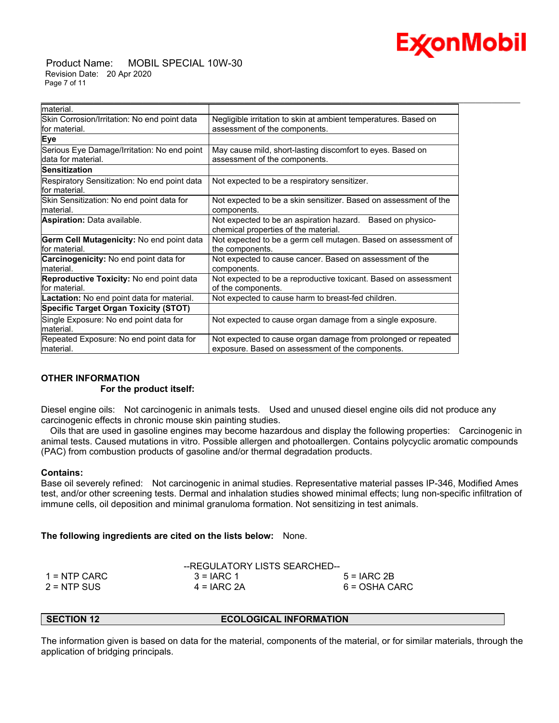

 Product Name: MOBIL SPECIAL 10W-30 Revision Date: 20 Apr 2020 Page 7 of 11

| material.                                                          |                                                                                                    |  |
|--------------------------------------------------------------------|----------------------------------------------------------------------------------------------------|--|
| Skin Corrosion/Irritation: No end point data                       | Negligible irritation to skin at ambient temperatures. Based on                                    |  |
| lfor material.                                                     | assessment of the components.                                                                      |  |
| Eye                                                                |                                                                                                    |  |
| Serious Eye Damage/Irritation: No end point<br>ldata for material. | May cause mild, short-lasting discomfort to eyes. Based on                                         |  |
|                                                                    | assessment of the components.                                                                      |  |
| lSensitization                                                     |                                                                                                    |  |
| Respiratory Sensitization: No end point data<br>lfor material.     | Not expected to be a respiratory sensitizer.                                                       |  |
| Skin Sensitization: No end point data for                          | Not expected to be a skin sensitizer. Based on assessment of the                                   |  |
| lmaterial.                                                         | components.                                                                                        |  |
| <b>Aspiration: Data available.</b>                                 | Not expected to be an aspiration hazard. Based on physico-<br>chemical properties of the material. |  |
| <b>Germ Cell Mutagenicity: No end point data</b>                   | Not expected to be a germ cell mutagen. Based on assessment of                                     |  |
| lfor material.                                                     | the components.                                                                                    |  |
| <b>Carcinogenicity:</b> No end point data for<br>lmaterial.        | Not expected to cause cancer. Based on assessment of the<br>components.                            |  |
| Reproductive Toxicity: No end point data                           | Not expected to be a reproductive toxicant. Based on assessment                                    |  |
| lfor material.                                                     | of the components.                                                                                 |  |
| <b>Lactation:</b> No end point data for material.                  | Not expected to cause harm to breast-fed children.                                                 |  |
| <b>Specific Target Organ Toxicity (STOT)</b>                       |                                                                                                    |  |
| Single Exposure: No end point data for                             | Not expected to cause organ damage from a single exposure.                                         |  |
| material.                                                          |                                                                                                    |  |
| Repeated Exposure: No end point data for                           | Not expected to cause organ damage from prolonged or repeated                                      |  |
| material.                                                          | exposure. Based on assessment of the components.                                                   |  |

\_\_\_\_\_\_\_\_\_\_\_\_\_\_\_\_\_\_\_\_\_\_\_\_\_\_\_\_\_\_\_\_\_\_\_\_\_\_\_\_\_\_\_\_\_\_\_\_\_\_\_\_\_\_\_\_\_\_\_\_\_\_\_\_\_\_\_\_\_\_\_\_\_\_\_\_\_\_\_\_\_\_\_\_\_\_\_\_\_\_\_\_\_\_\_\_\_\_\_\_\_\_\_\_\_\_\_\_\_\_\_\_\_\_\_\_\_\_

# **OTHER INFORMATION For the product itself:**

Diesel engine oils: Not carcinogenic in animals tests. Used and unused diesel engine oils did not produce any carcinogenic effects in chronic mouse skin painting studies.

 Oils that are used in gasoline engines may become hazardous and display the following properties: Carcinogenic in animal tests. Caused mutations in vitro. Possible allergen and photoallergen. Contains polycyclic aromatic compounds (PAC) from combustion products of gasoline and/or thermal degradation products.

# **Contains:**

Base oil severely refined: Not carcinogenic in animal studies. Representative material passes IP-346, Modified Ames test, and/or other screening tests. Dermal and inhalation studies showed minimal effects; lung non-specific infiltration of immune cells, oil deposition and minimal granuloma formation. Not sensitizing in test animals.

**The following ingredients are cited on the lists below:** None.

|                | --REGULATORY LISTS SEARCHED-- |               |
|----------------|-------------------------------|---------------|
| $1 =$ NTP CARC | $3 = IARC 1$                  | $5 = IARC2B$  |
| $2 = NTP$ SUS  | $4 = IARC 2A$                 | 6 = OSHA CARC |

**SECTION 12 ECOLOGICAL INFORMATION** 

The information given is based on data for the material, components of the material, or for similar materials, through the application of bridging principals.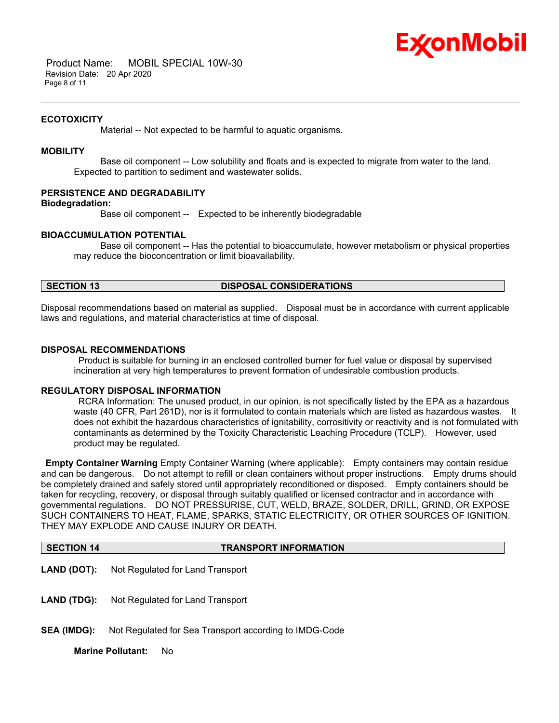

 Product Name: MOBIL SPECIAL 10W-30 Revision Date: 20 Apr 2020 Page 8 of 11

#### **ECOTOXICITY**

Material -- Not expected to be harmful to aquatic organisms.

# **MOBILITY**

 Base oil component -- Low solubility and floats and is expected to migrate from water to the land. Expected to partition to sediment and wastewater solids.

\_\_\_\_\_\_\_\_\_\_\_\_\_\_\_\_\_\_\_\_\_\_\_\_\_\_\_\_\_\_\_\_\_\_\_\_\_\_\_\_\_\_\_\_\_\_\_\_\_\_\_\_\_\_\_\_\_\_\_\_\_\_\_\_\_\_\_\_\_\_\_\_\_\_\_\_\_\_\_\_\_\_\_\_\_\_\_\_\_\_\_\_\_\_\_\_\_\_\_\_\_\_\_\_\_\_\_\_\_\_\_\_\_\_\_\_\_\_

# **PERSISTENCE AND DEGRADABILITY**

**Biodegradation:**

Base oil component -- Expected to be inherently biodegradable

### **BIOACCUMULATION POTENTIAL**

 Base oil component -- Has the potential to bioaccumulate, however metabolism or physical properties may reduce the bioconcentration or limit bioavailability.

# **SECTION 13 DISPOSAL CONSIDERATIONS**

Disposal recommendations based on material as supplied. Disposal must be in accordance with current applicable laws and regulations, and material characteristics at time of disposal.

#### **DISPOSAL RECOMMENDATIONS**

 Product is suitable for burning in an enclosed controlled burner for fuel value or disposal by supervised incineration at very high temperatures to prevent formation of undesirable combustion products.

### **REGULATORY DISPOSAL INFORMATION**

 RCRA Information: The unused product, in our opinion, is not specifically listed by the EPA as a hazardous waste (40 CFR, Part 261D), nor is it formulated to contain materials which are listed as hazardous wastes. It does not exhibit the hazardous characteristics of ignitability, corrositivity or reactivity and is not formulated with contaminants as determined by the Toxicity Characteristic Leaching Procedure (TCLP). However, used product may be regulated.

**Empty Container Warning** Empty Container Warning (where applicable): Empty containers may contain residue and can be dangerous. Do not attempt to refill or clean containers without proper instructions. Empty drums should be completely drained and safely stored until appropriately reconditioned or disposed. Empty containers should be taken for recycling, recovery, or disposal through suitably qualified or licensed contractor and in accordance with governmental regulations. DO NOT PRESSURISE, CUT, WELD, BRAZE, SOLDER, DRILL, GRIND, OR EXPOSE SUCH CONTAINERS TO HEAT, FLAME, SPARKS, STATIC ELECTRICITY, OR OTHER SOURCES OF IGNITION. THEY MAY EXPLODE AND CAUSE INJURY OR DEATH.

#### **SECTION 14 TRANSPORT INFORMATION**

- **LAND (DOT):** Not Regulated for Land Transport
- **LAND (TDG):** Not Regulated for Land Transport
- **SEA (IMDG):** Not Regulated for Sea Transport according to IMDG-Code

**Marine Pollutant:** No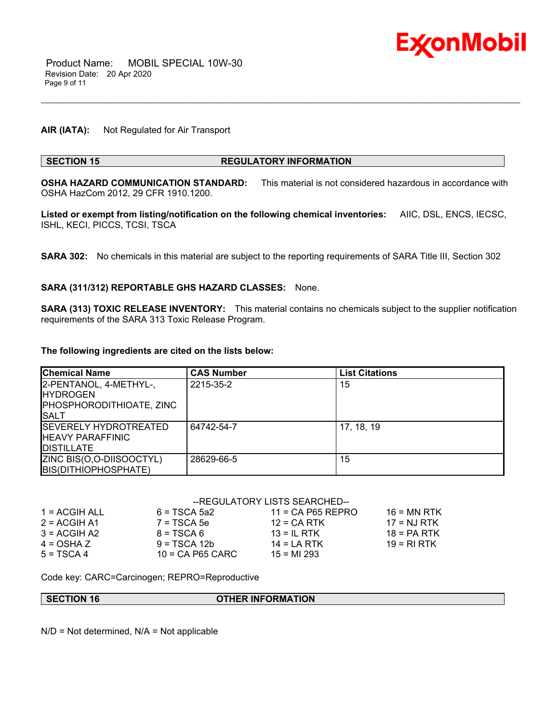

# **AIR (IATA):** Not Regulated for Air Transport

# **SECTION 15 REGULATORY INFORMATION**

**OSHA HAZARD COMMUNICATION STANDARD:** This material is not considered hazardous in accordance with OSHA HazCom 2012, 29 CFR 1910.1200.

\_\_\_\_\_\_\_\_\_\_\_\_\_\_\_\_\_\_\_\_\_\_\_\_\_\_\_\_\_\_\_\_\_\_\_\_\_\_\_\_\_\_\_\_\_\_\_\_\_\_\_\_\_\_\_\_\_\_\_\_\_\_\_\_\_\_\_\_\_\_\_\_\_\_\_\_\_\_\_\_\_\_\_\_\_\_\_\_\_\_\_\_\_\_\_\_\_\_\_\_\_\_\_\_\_\_\_\_\_\_\_\_\_\_\_\_\_\_

**Listed or exempt from listing/notification on the following chemical inventories:** AIIC, DSL, ENCS, IECSC, ISHL, KECI, PICCS, TCSI, TSCA

**SARA 302:** No chemicals in this material are subject to the reporting requirements of SARA Title III, Section 302

### **SARA (311/312) REPORTABLE GHS HAZARD CLASSES:** None.

**SARA (313) TOXIC RELEASE INVENTORY:** This material contains no chemicals subject to the supplier notification requirements of the SARA 313 Toxic Release Program.

#### **The following ingredients are cited on the lists below:**

| <b>Chemical Name</b>                                                                  | <b>CAS Number</b> | <b>List Citations</b> |
|---------------------------------------------------------------------------------------|-------------------|-----------------------|
| 2-PENTANOL, 4-METHYL-,<br><b>IHYDROGEN</b><br>PHOSPHORODITHIOATE, ZINC<br><b>SALT</b> | 2215-35-2         | 15                    |
| <b>ISEVERELY HYDROTREATED</b><br><b>IHEAVY PARAFFINIC</b><br><b>DISTILLATE</b>        | 64742-54-7        | 17, 18, 19            |
| ZINC BIS(O,O-DIISOOCTYL)<br>BIS(DITHIOPHOSPHATE)                                      | 28629-66-5        | 15                    |

# --REGULATORY LISTS SEARCHED--

| 1 = ACGIH ALL  | $6 = TSCA$ 5a2     | $11 = CA$ P65 REPRO | $16 = MN$ RTK |
|----------------|--------------------|---------------------|---------------|
| $2 = ACGIH A1$ | $7 = TSCA5e$       | $12$ = CA RTK       | $17 = NJ RTK$ |
| $3 = ACGH A2$  | $8 = TSCA6$        | $13 = IL$ RTK       | $18 = PA RTK$ |
| $4 = OSHA Z$   | $9 = TSCA 12b$     | $14 = I A RTK$      | $19 = R1 RTK$ |
| $5 = TSCA4$    | $10 = CA$ P65 CARC | $15 = M1293$        |               |

Code key: CARC=Carcinogen; REPRO=Reproductive

**SECTION 16 OTHER INFORMATION** 

N/D = Not determined, N/A = Not applicable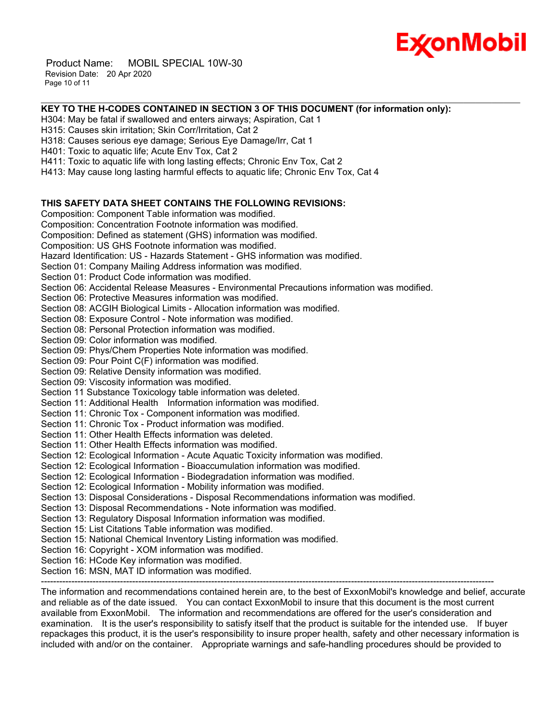

 Product Name: MOBIL SPECIAL 10W-30 Revision Date: 20 Apr 2020 Page 10 of 11

# **KEY TO THE H-CODES CONTAINED IN SECTION 3 OF THIS DOCUMENT (for information only):**

\_\_\_\_\_\_\_\_\_\_\_\_\_\_\_\_\_\_\_\_\_\_\_\_\_\_\_\_\_\_\_\_\_\_\_\_\_\_\_\_\_\_\_\_\_\_\_\_\_\_\_\_\_\_\_\_\_\_\_\_\_\_\_\_\_\_\_\_\_\_\_\_\_\_\_\_\_\_\_\_\_\_\_\_\_\_\_\_\_\_\_\_\_\_\_\_\_\_\_\_\_\_\_\_\_\_\_\_\_\_\_\_\_\_\_\_\_\_

H304: May be fatal if swallowed and enters airways; Aspiration, Cat 1

H315: Causes skin irritation; Skin Corr/Irritation, Cat 2

H318: Causes serious eye damage; Serious Eye Damage/Irr, Cat 1

H401: Toxic to aquatic life; Acute Env Tox, Cat 2

H411: Toxic to aquatic life with long lasting effects; Chronic Env Tox, Cat 2

H413: May cause long lasting harmful effects to aquatic life; Chronic Env Tox, Cat 4

# **THIS SAFETY DATA SHEET CONTAINS THE FOLLOWING REVISIONS:**

Composition: Component Table information was modified. Composition: Concentration Footnote information was modified. Composition: Defined as statement (GHS) information was modified. Composition: US GHS Footnote information was modified. Hazard Identification: US - Hazards Statement - GHS information was modified. Section 01: Company Mailing Address information was modified. Section 01: Product Code information was modified. Section 06: Accidental Release Measures - Environmental Precautions information was modified. Section 06: Protective Measures information was modified. Section 08: ACGIH Biological Limits - Allocation information was modified. Section 08: Exposure Control - Note information was modified. Section 08: Personal Protection information was modified.

Section 09: Color information was modified.

Section 09: Phys/Chem Properties Note information was modified.

Section 09: Pour Point C(F) information was modified.

Section 09: Relative Density information was modified.

Section 09: Viscosity information was modified.

Section 11 Substance Toxicology table information was deleted.

Section 11: Additional Health Information information was modified.

Section 11: Chronic Tox - Component information was modified.

Section 11: Chronic Tox - Product information was modified.

Section 11: Other Health Effects information was deleted.

Section 11: Other Health Effects information was modified.

Section 12: Ecological Information - Acute Aquatic Toxicity information was modified.

Section 12: Ecological Information - Bioaccumulation information was modified.

Section 12: Ecological Information - Biodegradation information was modified.

Section 12: Ecological Information - Mobility information was modified.

Section 13: Disposal Considerations - Disposal Recommendations information was modified.

Section 13: Disposal Recommendations - Note information was modified.

Section 13: Regulatory Disposal Information information was modified.

Section 15: List Citations Table information was modified.

Section 15: National Chemical Inventory Listing information was modified.

Section 16: Copyright - XOM information was modified.

Section 16: HCode Key information was modified.

Section 16: MSN, MAT ID information was modified.

The information and recommendations contained herein are, to the best of ExxonMobil's knowledge and belief, accurate and reliable as of the date issued. You can contact ExxonMobil to insure that this document is the most current available from ExxonMobil. The information and recommendations are offered for the user's consideration and examination. It is the user's responsibility to satisfy itself that the product is suitable for the intended use. If buyer repackages this product, it is the user's responsibility to insure proper health, safety and other necessary information is included with and/or on the container. Appropriate warnings and safe-handling procedures should be provided to

-----------------------------------------------------------------------------------------------------------------------------------------------------